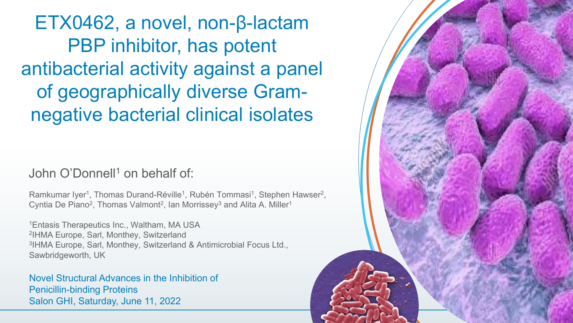ETX0462, a novel, non-β-lactam PBP inhibitor, has potent antibacterial activity against a panel of geographically diverse Gramnegative bacterial clinical isolates

### John O'Donnell<sup>1</sup> on behalf of

Ramkumar Iyer<sup>1</sup>, Thomas Durand-Réville<sup>1</sup>, Rubén Tommasi<sup>1</sup>, Stephen Hawser<sup>2</sup>, Cyntia De Piano<sup>2</sup>, Thomas Valmont<sup>2</sup>, Ian Morrissey<sup>3</sup> and Alita A. Miller<sup>1</sup>

1Entasis Therapeutics Inc., Waltham, MA USA 2IHMA Europe, Sarl, Monthey, Switzerland 3IHMA Europe, Sarl, Monthey, Switzerland & Antimicrobial Focus Ltd., Sawbridgeworth, UK

Novel Structural Advances in the Inhibition of Penicillin-binding Proteins Salon GHI, Saturday, June 11, 2022

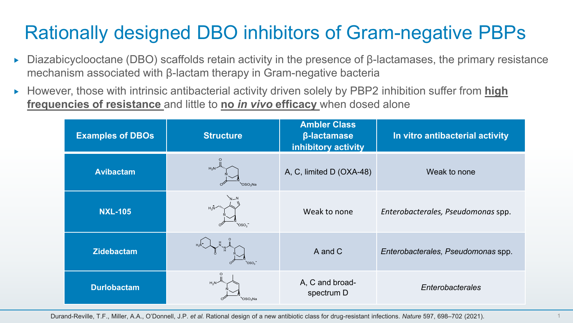# Rationally designed DBO inhibitors of Gram-negative PBPs

- Diazabicyclooctane (DBO) scaffolds retain activity in the presence of β-lactamases, the primary resistance mechanism associated with β-lactam therapy in Gram-negative bacteria
- ► However, those with intrinsic antibacterial activity driven solely by PBP2 inhibition suffer from **high frequencies of resistance** and little to **no** *in vivo* **efficacy** when dosed alone

| <b>Examples of DBOs</b> | <b>Structure</b>                | <b>Ambler Class</b><br><b>β-lactamase</b><br>inhibitory activity | In vitro antibacterial activity    |
|-------------------------|---------------------------------|------------------------------------------------------------------|------------------------------------|
| <b>Avibactam</b>        | $H_2N^2$<br>OSO <sub>2</sub> Na | A, C, limited D (OXA-48)                                         | Weak to none                       |
| <b>NXL-105</b>          | $H_3N$<br>oso.                  | Weak to none                                                     | Enterobacterales, Pseudomonas spp. |
| <b>Zidebactam</b>       | OSO <sub>2</sub>                | A and C                                                          | Enterobacterales, Pseudomonas spp. |
| <b>Durlobactam</b>      | $H_2N$<br>OSO <sub>2</sub> Na   | A, C and broad-<br>spectrum D                                    | Enterobacterales                   |

Durand-Reville, T.F., Miller, A.A., O'Donnell, J.P. *et al.* Rational design of a new antibiotic class for drug-resistant infections. *Nature* 597, 698–702 (2021).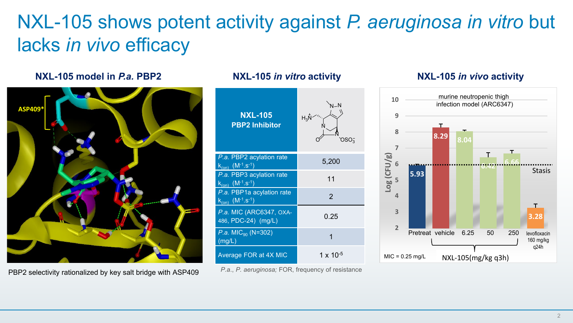## NXL-105 shows potent activity against *P. aeruginosa in vitro* but lacks *in vivo* efficacy

### **NXL-105 model in** *P.a.* **PBP2 NXL-105** *in vitro* **activity NXL-105** *in vivo* **activity**



PBP2 selectivity rationalized by key salt bridge with ASP409



*P.a*., *P. aeruginosa;* FOR, frequency of resistance

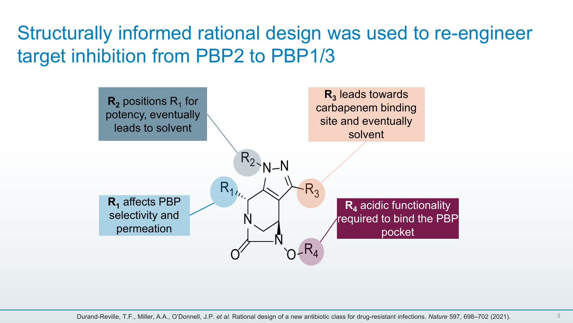## Structurally informed rational design was used to re-engineer target inhibition from PBP2 to PBP1/3

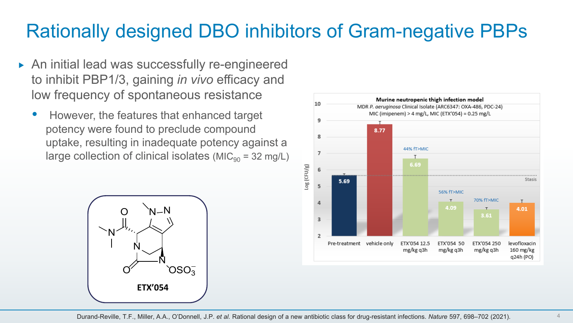### Rationally designed DBO inhibitors of Gram-negative PBPs

- ▶ An initial lead was successfully re-engineered to inhibit PBP1/3, gaining *in vivo* efficacy and low frequency of spontaneous resistance
	- However, the features that enhanced target potency were found to preclude compound uptake, resulting in inadequate potency against a large collection of clinical isolates ( $MIC<sub>90</sub> = 32 mg/L$ )



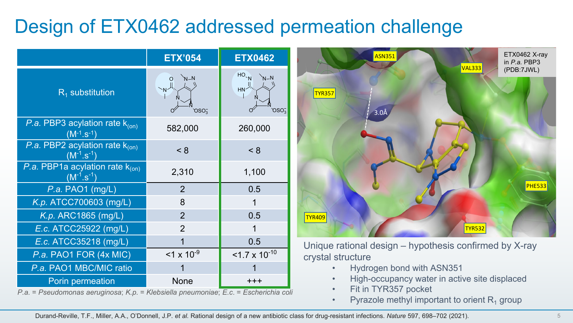### Design of ETX0462 addressed permeation challenge

|                                                           | <b>ETX'054</b>     | <b>ETX0462</b>                                  |
|-----------------------------------------------------------|--------------------|-------------------------------------------------|
| $R_1$ substitution                                        | $N-N$<br>$OSO_3^-$ | $HO_{N}$<br>HN <sub>c</sub><br>OSO <sub>3</sub> |
| P.a. PBP3 acylation rate $k_{(on)}$<br>$(M^{-1}.S^{-1})$  | 582,000            | 260,000                                         |
| P.a. PBP2 acylation rate $k_{(on)}$<br>$(N^{-1}.s^{-1})$  | < 8                | < 8                                             |
| P.a. PBP1a acylation rate $k_{(on)}$<br>$(M^{-1}.s^{-1})$ | 2,310              | 1,100                                           |
| P.a. PAO1 (mg/L)                                          | 2                  | 0.5                                             |
| K.p. ATCC700603 (mg/L)                                    | 8                  | 1                                               |
| K.p. ARC1865 (mg/L)                                       | $\overline{2}$     | 0.5                                             |
| E.c. ATCC25922 (mg/L)                                     | $\overline{2}$     | 1                                               |
| E.c. ATCC35218 (mg/L)                                     |                    | 0.5                                             |
| P.a. PAO1 FOR (4x MIC)                                    | $1 \times 10^{-9}$ | $<$ 1.7 x 10 <sup>-10</sup>                     |
| P.a. PAO1 MBC/MIC ratio                                   |                    |                                                 |
| Porin permeation                                          | None               | +++                                             |

*P.a.* = *Pseudomonas aeruginosa*; *K.p.* = *Klebsiella pneumoniae*; *E.c*. = *Escherichia coli*



Unique rational design – hypothesis confirmed by X-ray crystal structure

- Hydrogen bond with ASN351
- High-occupancy water in active site displaced
- Fit in TYR357 pocket
- Pyrazole methyl important to orient  $R_1$  group

Durand-Reville, T.F., Miller, A.A., O'Donnell, J.P. *et al.* Rational design of a new antibiotic class for drug-resistant infections. *Nature* 597, 698–702 (2021).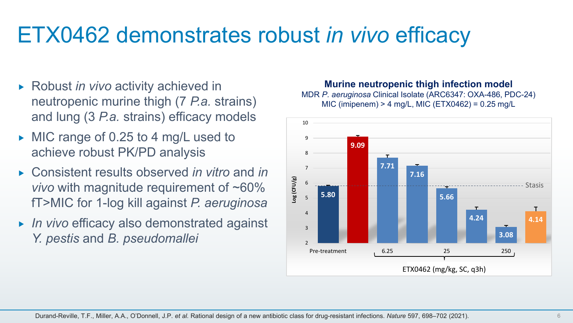# ETX0462 demonstrates robust *in vivo* efficacy

- ► Robust *in vivo* activity achieved in neutropenic murine thigh (7 *P.a.* strains) and lung (3 *P.a.* strains) efficacy models
- $\triangleright$  MIC range of 0.25 to 4 mg/L used to achieve robust PK/PD analysis
- Consistent results observed *in vitro* and *in vivo* with magnitude requirement of ~60% fT>MIC for 1-log kill against *P. aeruginosa*
- *In vivo* efficacy also demonstrated against *Y. pestis* and *B. pseudomallei*

### **Murine neutropenic thigh infection model**

MDR *P. aeruginosa* Clinical Isolate (ARC6347: OXA-486, PDC-24) MIC (imipenem) > 4 mg/L, MIC (ETX0462) = 0.25 mg/L

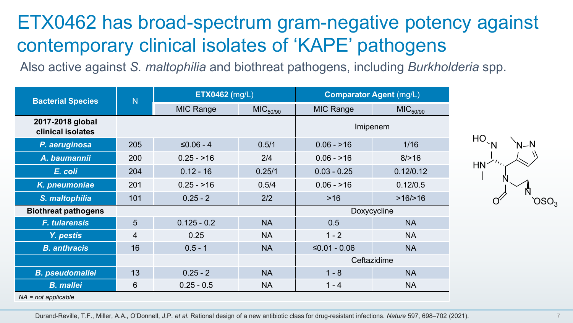### ETX0462 has broad-spectrum gram-negative potency against contemporary clinical isolates of 'KAPE' pathogens

Also active against *S. maltophilia* and biothreat pathogens, including *Burkholderia* spp.

| <b>Bacterial Species</b>              | $\overline{N}$ | <b>ETX0462</b> (mg/L) |                      | <b>Comparator Agent (mg/L)</b> |                      |  |  |
|---------------------------------------|----------------|-----------------------|----------------------|--------------------------------|----------------------|--|--|
|                                       |                | MIC Range             | MIC <sub>50/90</sub> | MIC Range                      | MIC <sub>50/90</sub> |  |  |
| 2017-2018 global<br>clinical isolates |                |                       |                      | Imipenem                       |                      |  |  |
| P. aeruginosa                         | 205            | $≤0.06 - 4$           | 0.5/1                | $0.06 - 216$                   | 1/16                 |  |  |
| A. baumannii                          | 200            | $0.25 - 16$           | 2/4                  | $0.06 - 16$                    | 8/>16                |  |  |
| E. coli                               | 204            | $0.12 - 16$           | 0.25/1               | $0.03 - 0.25$                  | 0.12/0.12            |  |  |
| K. pneumoniae                         | 201            | $0.25 - 16$           | 0.5/4                | $0.06 - 16$                    | 0.12/0.5             |  |  |
| S. maltophilia                        | 101            | $0.25 - 2$            | 2/2                  | $>16$                          | >16/>16              |  |  |
| <b>Biothreat pathogens</b>            |                |                       |                      | Doxycycline                    |                      |  |  |
| <b>F. tularensis</b>                  | 5              | $0.125 - 0.2$         | <b>NA</b>            | 0.5                            | <b>NA</b>            |  |  |
| Y. pestis                             | 4              | 0.25                  | NA                   | $1 - 2$                        | <b>NA</b>            |  |  |
| <b>B.</b> anthracis                   | 16             | $0.5 - 1$             | <b>NA</b>            | $≤0.01 - 0.06$                 | <b>NA</b>            |  |  |
|                                       |                | Ceftazidime           |                      |                                |                      |  |  |
| <b>B.</b> pseudomallei                | 13             | $0.25 - 2$            | <b>NA</b>            | $1 - 8$                        | <b>NA</b>            |  |  |
| <b>B.</b> mallei                      | 6              | $0.25 - 0.5$          | <b>NA</b>            | $1 - 4$                        | <b>NA</b>            |  |  |



*NA = not applicable*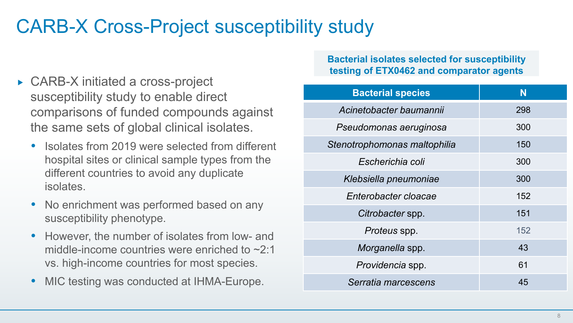### CARB-X Cross-Project susceptibility study

- ► CARB-X initiated a cross-project susceptibility study to enable direct comparisons of funded compounds against the same sets of global clinical isolates.
	- Isolates from 2019 were selected from different hospital sites or clinical sample types from the different countries to avoid any duplicate isolates.
	- No enrichment was performed based on any susceptibility phenotype.
	- However, the number of isolates from low- and middle-income countries were enriched to ~2:1 vs. high-income countries for most species.
	- MIC testing was conducted at IHMA-Europe.

### **Bacterial isolates selected for susceptibility testing of ETX0462 and comparator agents**

| <b>Bacterial species</b>     | N   |
|------------------------------|-----|
| Acinetobacter baumannii      | 298 |
| Pseudomonas aeruginosa       | 300 |
| Stenotrophomonas maltophilia | 150 |
| Escherichia coli             | 300 |
| Klebsiella pneumoniae        | 300 |
| Enterobacter cloacae         | 152 |
| Citrobacter spp.             | 151 |
| Proteus spp.                 | 152 |
| Morganella spp.              | 43  |
| Providencia spp.             | 61  |
| Serratia marcescens          | 45  |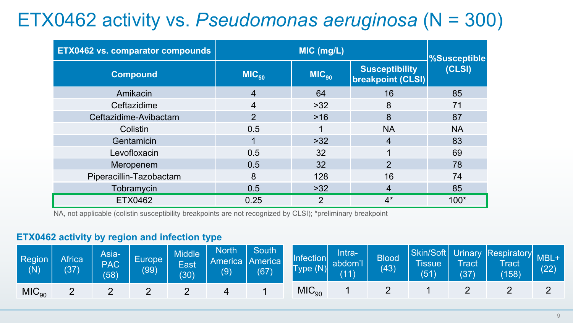## ETX0462 activity vs. *Pseudomonas aeruginosa* (N = 300)

| <b>ETX0462 vs. comparator compounds</b> |                   | <b>%Susceptible</b>             |                |           |
|-----------------------------------------|-------------------|---------------------------------|----------------|-----------|
| <b>Compound</b>                         | MIC <sub>50</sub> | $MIC_{90}$<br>breakpoint (CLSI) |                | (CLSI)    |
| Amikacin                                | 4                 | 64                              | 16             | 85        |
| Ceftazidime                             | 4                 | $>32$                           | 8              | 71        |
| Ceftazidime-Avibactam                   | $\overline{2}$    | $>16$                           | 8              | 87        |
| Colistin                                | 0.5               |                                 | <b>NA</b>      | <b>NA</b> |
| Gentamicin                              |                   | $>32$                           | 4              | 83        |
| Levofloxacin                            | 0.5               | 32                              |                | 69        |
| Meropenem                               | 0.5               | 32                              | $\overline{2}$ | 78        |
| Piperacillin-Tazobactam                 | 8                 | 128                             | 16             | 74        |
| Tobramycin                              | 0.5               | $>32$                           | 4              | 85        |
| ETX0462                                 | 0.25              | 2                               | $4^*$          | $100*$    |

NA, not applicable (colistin susceptibility breakpoints are not recognized by CLSI); \*preliminary breakpoint

### **ETX0462 activity by region and infection type**

| Region<br>(N)     | Africa<br>(37) | Asia-<br><b>PAC</b><br>(58) | Europe <sup>1</sup><br>(99) | <b>Middle</b><br>East<br>(30) | <b>North</b><br>$\left( 9\right)$ | South \<br>America   America  <br>(67) | Infection<br>Type(N) | Intra-<br>abdom'l<br>(11) | <b>Blood</b><br>(43) | Tissue<br>(51) | <b>Tract</b><br>(37) | Skin/Soft Urinary Respiratory MBL<br>Tract<br>(158) | (22) |
|-------------------|----------------|-----------------------------|-----------------------------|-------------------------------|-----------------------------------|----------------------------------------|----------------------|---------------------------|----------------------|----------------|----------------------|-----------------------------------------------------|------|
| MIC <sub>90</sub> |                | <u>_</u>                    |                             |                               |                                   |                                        | MIC <sub>90</sub>    |                           |                      |                |                      |                                                     |      |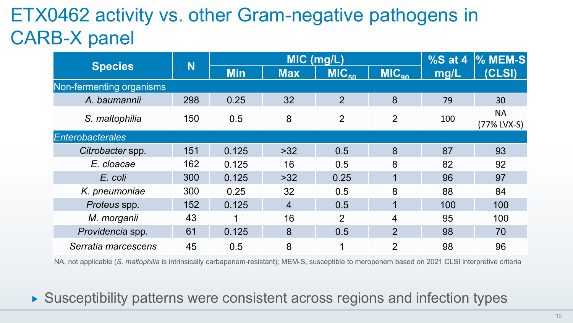# ETX0462 activity vs. other Gram-negative pathogens in CARB-X panel

|                          | N   |            | MIC (mg/L) | % $S$ at 4              | <b>% MEM-S</b>  |      |                          |
|--------------------------|-----|------------|------------|-------------------------|-----------------|------|--------------------------|
| <b>Species</b>           |     | <b>Min</b> | <b>Max</b> | <b>MIC<sub>50</sub></b> | $MC_{\alpha 0}$ | mg/L | (CLSI)                   |
| Non-fermenting organisms |     |            |            |                         |                 |      |                          |
| A. baumannii             | 298 | 0.25       | 32         | $\overline{2}$          | 8               | 79   | 30                       |
| S. maltophilia           | 150 | 0.5        | 8          | $\overline{2}$          | $\overline{2}$  | 100  | <b>NA</b><br>(77% LVX-S) |
| <b>Enterobacterales</b>  |     |            |            |                         |                 |      |                          |
| Citrobacter spp.         | 151 | 0.125      | $>32$      | 0.5                     | 8               | 87   | 93                       |
| E. cloacae               | 162 | 0.125      | 16         | 0.5                     | 8               | 82   | 92                       |
| E. coli                  | 300 | 0.125      | $>32$      | 0.25                    | $\mathbf 1$     | 96   | 97                       |
| K. pneumoniae            | 300 | 0.25       | 32         | 0.5                     | 8               | 88   | 84                       |
| Proteus spp.             | 152 | 0.125      | 4          | 0.5                     | $\mathbf{1}$    | 100  | 100                      |
| M. morganii              | 43  |            | 16         | 2                       | 4               | 95   | 100                      |
| Providencia spp.         | 61  | 0.125      | 8          | 0.5                     | $\overline{2}$  | 98   | 70                       |
| Serratia marcescens      | 45  | 0.5        | 8          | 1                       | 2               | 98   | 96                       |

NA, not applicable (*S. maltophilia* is intrinsically carbapenem-resistant); MEM-S, susceptible to meropenem based on 2021 CLSI interpretive criteria

▶ Susceptibility patterns were consistent across regions and infection types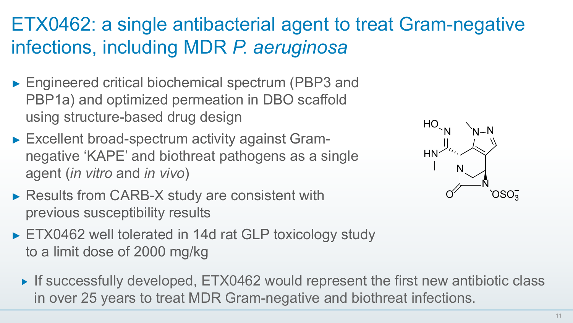# ETX0462: a single antibacterial agent to treat Gram-negative infections, including MDR *P. aeruginosa*

- ► Engineered critical biochemical spectrum (PBP3 and PBP1a) and optimized permeation in DBO scaffold using structure-based drug design
- ► Excellent broad-spectrum activity against Gramnegative 'KAPE' and biothreat pathogens as a single agent (*in vitro* and *in vivo*)
- ► Results from CARB-X study are consistent with previous susceptibility results
- ► ETX0462 well tolerated in 14d rat GLP toxicology study to a limit dose of 2000 mg/kg
	- ▶ If successfully developed, ETX0462 would represent the first new antibiotic class in over 25 years to treat MDR Gram-negative and biothreat infections.